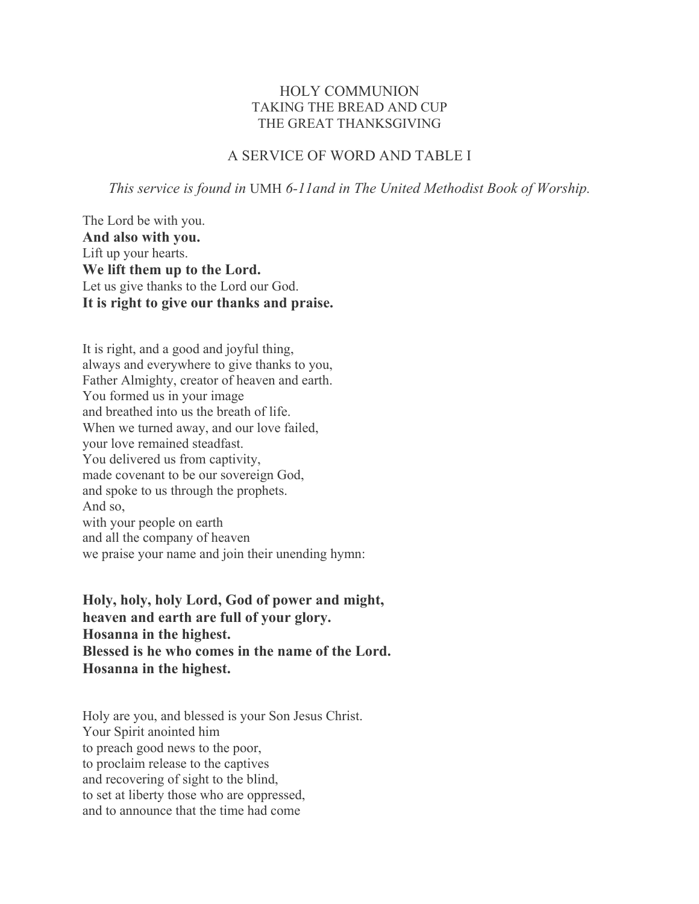## HOLY COMMUNION TAKING THE BREAD AND CUP THE GREAT THANKSGIVING

## A SERVICE OF WORD AND TABLE I

*This service is found in* UMH *6-11and in The United Methodist Book of Worship.*

The Lord be with you. **And also with you.** Lift up your hearts. **We lift them up to the Lord.** Let us give thanks to the Lord our God. **It is right to give our thanks and praise.**

It is right, and a good and joyful thing, always and everywhere to give thanks to you, Father Almighty, creator of heaven and earth. You formed us in your image and breathed into us the breath of life. When we turned away, and our love failed, your love remained steadfast. You delivered us from captivity, made covenant to be our sovereign God, and spoke to us through the prophets. And so, with your people on earth and all the company of heaven we praise your name and join their unending hymn:

**Holy, holy, holy Lord, God of power and might, heaven and earth are full of your glory. Hosanna in the highest. Blessed is he who comes in the name of the Lord. Hosanna in the highest.**

Holy are you, and blessed is your Son Jesus Christ. Your Spirit anointed him to preach good news to the poor, to proclaim release to the captives and recovering of sight to the blind, to set at liberty those who are oppressed, and to announce that the time had come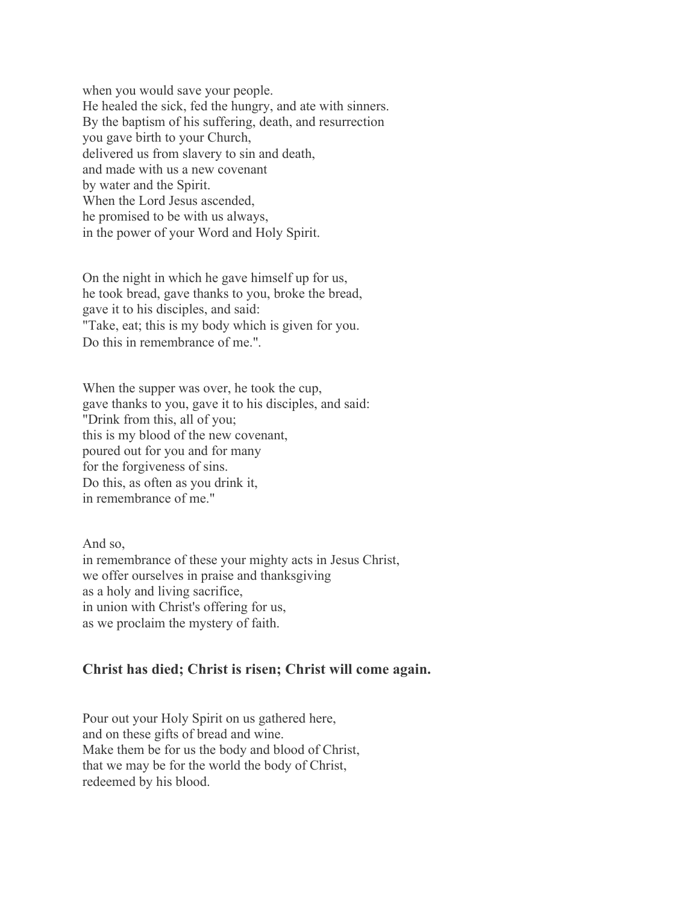when you would save your people. He healed the sick, fed the hungry, and ate with sinners. By the baptism of his suffering, death, and resurrection you gave birth to your Church, delivered us from slavery to sin and death, and made with us a new covenant by water and the Spirit. When the Lord Jesus ascended, he promised to be with us always, in the power of your Word and Holy Spirit.

On the night in which he gave himself up for us, he took bread, gave thanks to you, broke the bread, gave it to his disciples, and said: "Take, eat; this is my body which is given for you. Do this in remembrance of me."*.*

When the supper was over, he took the cup, gave thanks to you, gave it to his disciples, and said: "Drink from this, all of you; this is my blood of the new covenant, poured out for you and for many for the forgiveness of sins. Do this, as often as you drink it, in remembrance of me."

And so, in remembrance of these your mighty acts in Jesus Christ, we offer ourselves in praise and thanksgiving as a holy and living sacrifice, in union with Christ's offering for us, as we proclaim the mystery of faith.

## **Christ has died; Christ is risen; Christ will come again.**

Pour out your Holy Spirit on us gathered here, and on these gifts of bread and wine. Make them be for us the body and blood of Christ, that we may be for the world the body of Christ, redeemed by his blood.